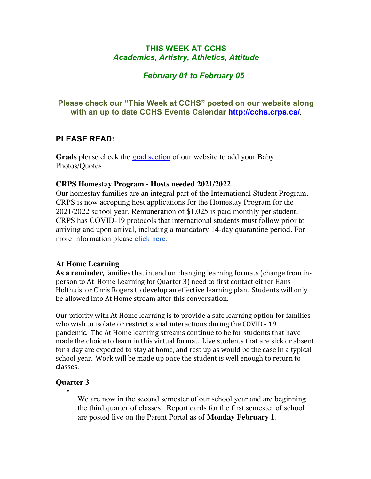# **THIS WEEK AT CCHS** *Academics, Artistry, Athletics, Attitude*

# *February 01 to February 05*

# **Please check our "This Week at CCHS" posted on our website along with an up to date CCHS Events Calendar<http://cchs.crps.ca/>**.

# **PLEASE READ:**

**Grads** please check the [grad section](https://cchs.crps.ca/view.php?action=object&id=555&stream=Announcements) of our website to add your Baby Photos/Quotes.

#### **CRPS Homestay Program - Hosts needed 2021/2022**

Our homestay families are an integral part of the International Student Program. CRPS is now accepting host applications for the Homestay Program for the 2021/2022 school year. Remuneration of \$1,025 is paid monthly per student. CRPS has COVID-19 protocols that international students must follow prior to arriving and upon arrival, including a mandatory 14-day quarantine period. For more information please [click here](https://crps.ca/Homestay Program.php).

### **At Home Learning**

As a reminder, families that intend on changing learning formats (change from inperson to At Home Learning for Quarter 3) need to first contact either Hans Holthuis, or Chris Rogers to develop an effective learning plan. Students will only be allowed into At Home stream after this conversation.

Our priority with At Home learning is to provide a safe learning option for families who wish to isolate or restrict social interactions during the COVID - 19 pandemic. The At Home learning streams continue to be for students that have made the choice to learn in this virtual format. Live students that are sick or absent for a day are expected to stay at home, and rest up as would be the case in a typical school year. Work will be made up once the student is well enough to return to classes. 

#### **Quarter 3**

•

We are now in the second semester of our school year and are beginning the third quarter of classes. Report cards for the first semester of school are posted live on the Parent Portal as of **Monday February 1**.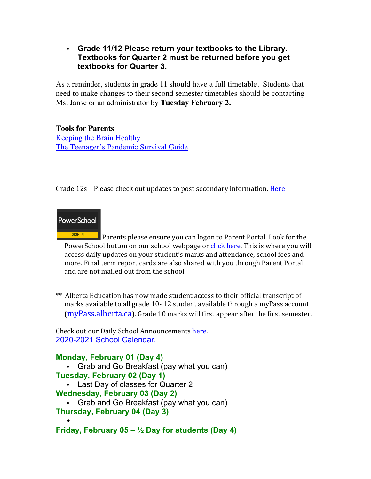## • **Grade 11/12 Please return your textbooks to the Library. Textbooks for Quarter 2 must be returned before you get textbooks for Quarter 3.**

As a reminder, students in grade 11 should have a full timetable. Students that need to make changes to their second semester timetables should be contacting Ms. Janse or an administrator by **Tuesday February 2.** 

**Tools for Parents** [Keeping the Brain Healthy](https://cchs.crps.ca/documents/general/keeping the brain healthy_1.jpg) [The Teenager's Pandemic Survival Guide](https://cchs.crps.ca/documents/general/The Teenagers Pandemic Survival Guide_1.jpg)

Grade 12s – Please check out updates to post secondary information. Here

# **PowerSchool**

**SIGN IN** Parents please ensure you can logon to Parent Portal. Look for the PowerSchool button on our school webpage or click here. This is where you will access daily updates on your student's marks and attendance, school fees and more. Final term report cards are also shared with you through Parent Portal and are not mailed out from the school.

\*\* Alberta Education has now made student access to their official transcript of marks available to all grade 10-12 student available through a myPass account  $(mvPass.alberta.ca)$ . Grade 10 marks will first appear after the first semester.

Check out our Daily School Announcements here. [2020-2021 School Calendar.](https://crps.ca/documents/general/Final 2020-2021 Learning Calendar.pdf)

### **Monday, February 01 (Day 4)**

- Grab and Go Breakfast (pay what you can)
- **Tuesday, February 02 (Day 1)**
	- Last Day of classes for Quarter 2
- **Wednesday, February 03 (Day 2)**
- Grab and Go Breakfast (pay what you can) **Thursday, February 04 (Day 3)**

• **Friday, February 05 – ½ Day for students (Day 4)**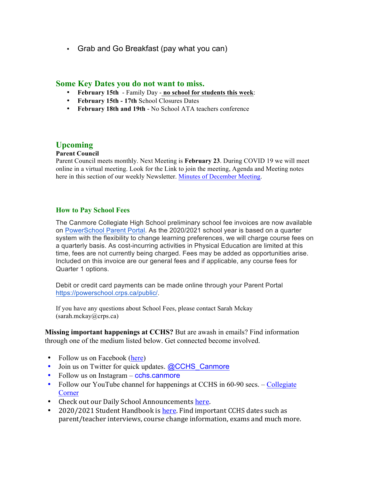• Grab and Go Breakfast (pay what you can)

#### **Some Key Dates you do not want to miss.**

- **February 15th** Family Day **no school for students this week**:
- **February 15th - 17th** School Closures Dates
- **February 18th and 19th** No School ATA teachers conference

### **Upcoming**

#### **Parent Council**

Parent Council meets monthly. Next Meeting is **February 23**. During COVID 19 we will meet online in a virtual meeting. Look for the Link to join the meeting, Agenda and Meeting notes here in this section of our weekly Newsletter. [Minutes of December Meeting](https://docs.google.com/document/d/1eaJyqVU8Pu5oMJC4dAeJrDjfyPXDAkIK9iNjlBwsUD0/edit?usp=sharing).

#### **How to Pay School Fees**

The Canmore Collegiate High School preliminary school fee invoices are now available on [PowerSchool Parent Portal](https://powerschool.crps.ca/public/). As the 2020/2021 school year is based on a quarter system with the flexibility to change learning preferences, we will charge course fees on a quarterly basis. As cost-incurring activities in Physical Education are limited at this time, fees are not currently being charged. Fees may be added as opportunities arise. Included on this invoice are our general fees and if applicable, any course fees for Quarter 1 options.

Debit or credit card payments can be made online through your Parent Portal [https://powerschool.crps.ca/public/](http://track.spe.schoolmessenger.com/f/a/4rkFIbW6rdYrmfYv6Hc4QA~~/AAAAAQA~/RgRfbmt8P0QjaHR0cHM6Ly9wb3dlcnNjaG9vbC5jcnBzLmNhL3B1YmxpYy9XB3NjaG9vbG1CCgAA_DeNXTBE7BlSGHdlYXZlcmphY29ic29uQGdtYWlsLmNvbVgEAAAAAg~~).

If you have any questions about School Fees, please contact Sarah Mckay (sarah.mckay@crps.ca)

**Missing important happenings at CCHS?** But are awash in emails? Find information through one of the medium listed below. Get connected become involved.

- Follow us on Facebook ([here](https://www.facebook.com/cchscanmore/))
- Join us on Twitter for quick updates. [@CCHS\\_Canmore](https://twitter.com/CCHS_Canmore)
- Follow us on Instagram cchs.canmore
- Follow our YouTube channel for happenings at CCHS in 60-90 secs. [Collegiate](http://cchs.crps.ca/view.php?action=object&id=4103&stream=Announcements) **[Corner](http://cchs.crps.ca/view.php?action=object&id=4103&stream=Announcements)**
- Check out our Daily School Announcements here.
- 2020/2021 Student Handbook is here. Find important CCHS dates such as parent/teacher interviews, course change information, exams and much more.